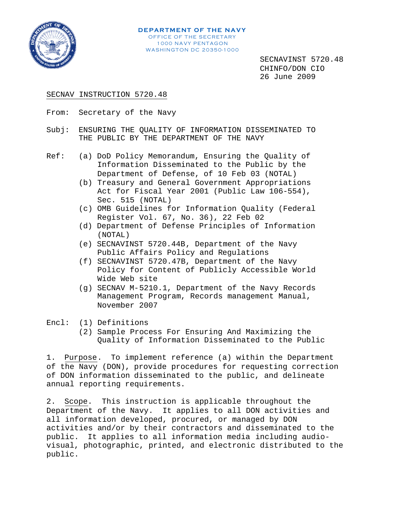

SECNAVINST 5720.48 CHINFO/DON CIO 26 June 2009

# SECNAV INSTRUCTION 5720.48

- From: Secretary of the Navy
- Subj: ENSURING THE QUALITY OF INFORMATION DISSEMINATED TO THE PUBLIC BY THE DEPARTMENT OF THE NAVY
- Ref: (a) DoD Policy Memorandum, Ensuring the Quality of Information Disseminated to the Public by the Department of Defense, of 10 Feb 03 (NOTAL)
	- (b) Treasury and General Government Appropriations Act for Fiscal Year 2001 (Public Law 106-554), Sec. 515 (NOTAL)
	- (c) OMB Guidelines for Information Quality (Federal Register Vol. 67, No. 36), 22 Feb 02
	- (d) Department of Defense Principles of Information (NOTAL)
	- (e) SECNAVINST 5720.44B, Department of the Navy Public Affairs Policy and Regulations
	- (f) SECNAVINST 5720.47B, Department of the Navy Policy for Content of Publicly Accessible World Wide Web site
	- (g) SECNAV M-5210.1, Department of the Navy Records Management Program, Records management Manual, November 2007
- Encl: (1) Definitions
	- (2) Sample Process For Ensuring And Maximizing the Quality of Information Disseminated to the Public

1. Purpose. To implement reference (a) within the Department of the Navy (DON), provide procedures for requesting correction of DON information disseminated to the public, and delineate annual reporting requirements.

2. Scope. This instruction is applicable throughout the Department of the Navy. It applies to all DON activities and all information developed, procured, or managed by DON activities and/or by their contractors and disseminated to the public. It applies to all information media including audiovisual, photographic, printed, and electronic distributed to the public.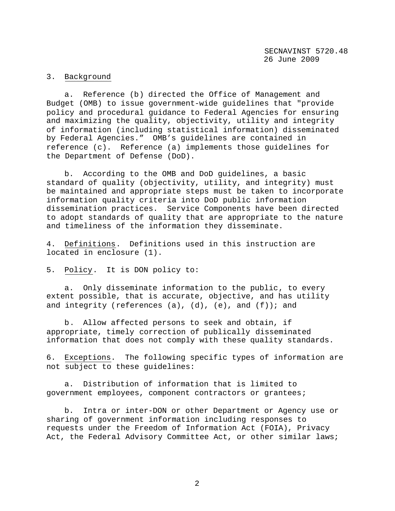#### 3. Background

a. Reference (b) directed the Office of Management and Budget (OMB) to issue government-wide guidelines that "provide policy and procedural guidance to Federal Agencies for ensuring and maximizing the quality, objectivity, utility and integrity of information (including statistical information) disseminated by Federal Agencies." OMB's guidelines are contained in reference (c). Reference (a) implements those guidelines for the Department of Defense (DoD).

b. According to the OMB and DoD guidelines, a basic standard of quality (objectivity, utility, and integrity) must be maintained and appropriate steps must be taken to incorporate information quality criteria into DoD public information dissemination practices. Service Components have been directed to adopt standards of quality that are appropriate to the nature and timeliness of the information they disseminate.

4. Definitions. Definitions used in this instruction are located in enclosure (1).

5. Policy. It is DON policy to:

a. Only disseminate information to the public, to every extent possible, that is accurate, objective, and has utility and integrity (references (a),  $(d)$ ,  $(e)$ , and  $(f)$ ); and

b. Allow affected persons to seek and obtain, if appropriate, timely correction of publically disseminated information that does not comply with these quality standards.

6. Exceptions. The following specific types of information are not subject to these guidelines:

a. Distribution of information that is limited to government employees, component contractors or grantees;

b. Intra or inter-DON or other Department or Agency use or sharing of government information including responses to requests under the Freedom of Information Act (FOIA), Privacy Act, the Federal Advisory Committee Act, or other similar laws;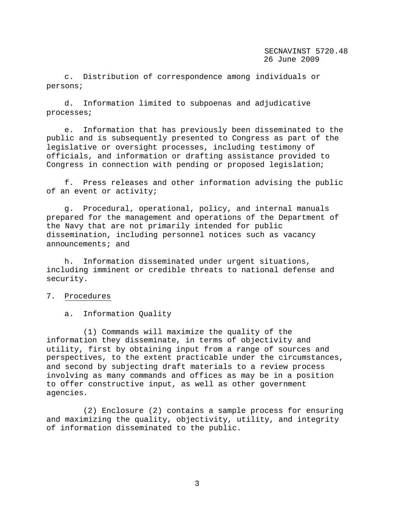c. Distribution of correspondence among individuals or persons;

d. Information limited to subpoenas and adjudicative processes;

e. Information that has previously been disseminated to the public and is subsequently presented to Congress as part of the legislative or oversight processes, including testimony of officials, and information or drafting assistance provided to Congress in connection with pending or proposed legislation;

f. Press releases and other information advising the public of an event or activity;

g. Procedural, operational, policy, and internal manuals prepared for the management and operations of the Department of the Navy that are not primarily intended for public dissemination, including personnel notices such as vacancy announcements; and

h. Information disseminated under urgent situations, including imminent or credible threats to national defense and security.

## 7. Procedures

a. Information Quality

(1) Commands will maximize the quality of the information they disseminate, in terms of objectivity and utility, first by obtaining input from a range of sources and perspectives, to the extent practicable under the circumstances, and second by subjecting draft materials to a review process involving as many commands and offices as may be in a position to offer constructive input, as well as other government agencies.

(2) Enclosure (2) contains a sample process for ensuring and maximizing the quality, objectivity, utility, and integrity of information disseminated to the public.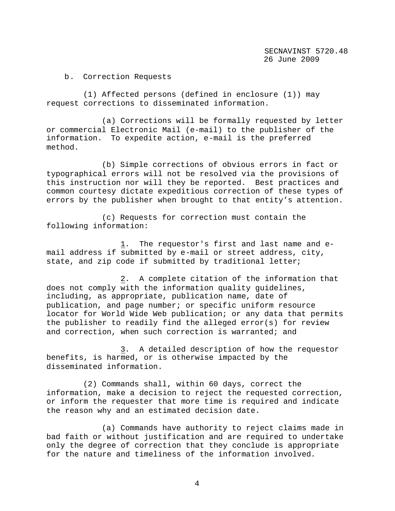b. Correction Requests

(1) Affected persons (defined in enclosure (1)) may request corrections to disseminated information.

(a) Corrections will be formally requested by letter or commercial Electronic Mail (e-mail) to the publisher of the information. To expedite action, e-mail is the preferred method.

(b) Simple corrections of obvious errors in fact or typographical errors will not be resolved via the provisions of this instruction nor will they be reported. Best practices and common courtesy dictate expeditious correction of these types of errors by the publisher when brought to that entity's attention.

(c) Requests for correction must contain the following information:

1. The requestor's first and last name and email address if submitted by e-mail or street address, city, state, and zip code if submitted by traditional letter;

2. A complete citation of the information that does not comply with the information quality guidelines, including, as appropriate, publication name, date of publication, and page number; or specific uniform resource locator for World Wide Web publication; or any data that permits the publisher to readily find the alleged error(s) for review and correction, when such correction is warranted; and

3. A detailed description of how the requestor benefits, is harmed, or is otherwise impacted by the disseminated information.

(2) Commands shall, within 60 days, correct the information, make a decision to reject the requested correction, or inform the requester that more time is required and indicate the reason why and an estimated decision date.

(a) Commands have authority to reject claims made in bad faith or without justification and are required to undertake only the degree of correction that they conclude is appropriate for the nature and timeliness of the information involved.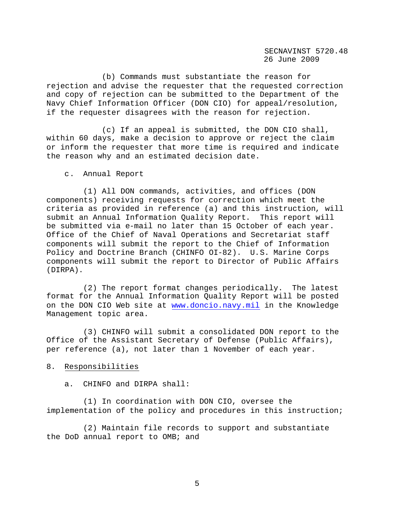(b) Commands must substantiate the reason for rejection and advise the requester that the requested correction and copy of rejection can be submitted to the Department of the Navy Chief Information Officer (DON CIO) for appeal/resolution, if the requester disagrees with the reason for rejection.

(c) If an appeal is submitted, the DON CIO shall, within 60 days, make a decision to approve or reject the claim or inform the requester that more time is required and indicate the reason why and an estimated decision date.

c. Annual Report

(1) All DON commands, activities, and offices (DON components) receiving requests for correction which meet the criteria as provided in reference (a) and this instruction, will submit an Annual Information Quality Report. This report will be submitted via e-mail no later than 15 October of each year. Office of the Chief of Naval Operations and Secretariat staff components will submit the report to the Chief of Information Policy and Doctrine Branch (CHINFO OI-82). U.S. Marine Corps components will submit the report to Director of Public Affairs (DIRPA).

(2) The report format changes periodically. The latest format for the Annual Information Quality Report will be posted on the DON CIO Web site at www.doncio.navy.mil in the Knowledge Management topic area.

(3) CHINFO will submit a consolidated DON report to the Office of the Assistant Secretary of Defense (Public Affairs), per reference (a), not later than 1 November of each year.

8. Responsibilities

a. CHINFO and DIRPA shall:

(1) In coordination with DON CIO, oversee the implementation of the policy and procedures in this instruction;

(2) Maintain file records to support and substantiate the DoD annual report to OMB; and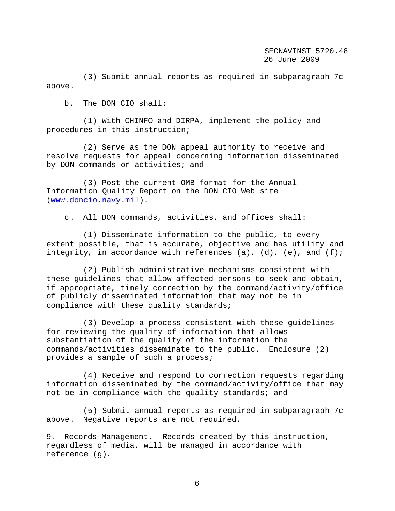(3) Submit annual reports as required in subparagraph 7c above.

b. The DON CIO shall:

(1) With CHINFO and DIRPA, implement the policy and procedures in this instruction;

(2) Serve as the DON appeal authority to receive and resolve requests for appeal concerning information disseminated by DON commands or activities; and

(3) Post the current OMB format for the Annual Information Quality Report on the DON CIO Web site (www.doncio.navy.mil).

c. All DON commands, activities, and offices shall:

(1) Disseminate information to the public, to every extent possible, that is accurate, objective and has utility and integrity, in accordance with references  $(a)$ ,  $(d)$ ,  $(e)$ , and  $(f)$ ;

(2) Publish administrative mechanisms consistent with these guidelines that allow affected persons to seek and obtain, if appropriate, timely correction by the command/activity/office of publicly disseminated information that may not be in compliance with these quality standards;

(3) Develop a process consistent with these guidelines for reviewing the quality of information that allows substantiation of the quality of the information the commands/activities disseminate to the public. Enclosure (2) provides a sample of such a process;

(4) Receive and respond to correction requests regarding information disseminated by the command/activity/office that may not be in compliance with the quality standards; and

(5) Submit annual reports as required in subparagraph 7c above. Negative reports are not required.

9. Records Management. Records created by this instruction, regardless of media, will be managed in accordance with reference (g).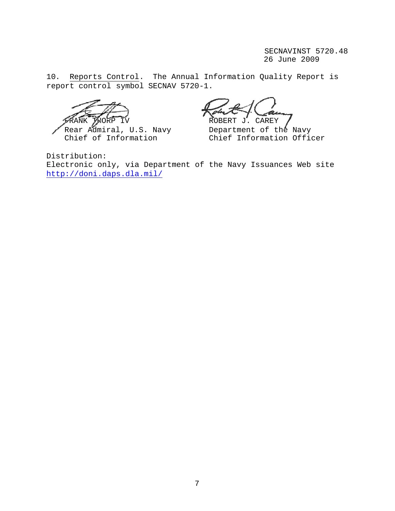10. Reports Control. The Annual Information Quality Report is report control symbol SECNAV 5720-1.

Rear Admiral, U.S. Navy Department of the Navy<br>Chief of Information Chief Information Offio

NK THORP IV ROBERT J. CAREY

Chief Information Officer

Distribution: Electronic only, via Department of the Navy Issuances Web site http://doni.daps.dla.mil/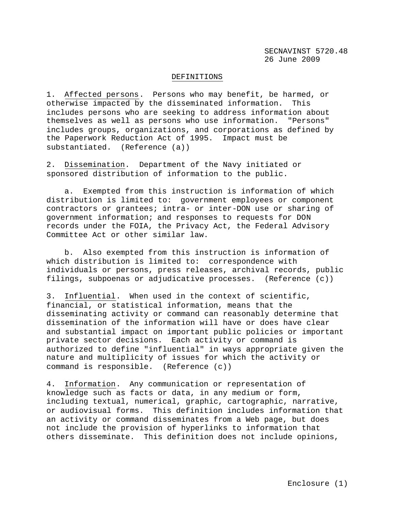### DEFINITIONS

1. Affected persons. Persons who may benefit, be harmed, or otherwise impacted by the disseminated information. This includes persons who are seeking to address information about themselves as well as persons who use information. "Persons" includes groups, organizations, and corporations as defined by the Paperwork Reduction Act of 1995. Impact must be substantiated. (Reference (a))

2. Dissemination. Department of the Navy initiated or sponsored distribution of information to the public.

a. Exempted from this instruction is information of which distribution is limited to: government employees or component contractors or grantees; intra- or inter-DON use or sharing of government information; and responses to requests for DON records under the FOIA, the Privacy Act, the Federal Advisory Committee Act or other similar law.

b. Also exempted from this instruction is information of which distribution is limited to: correspondence with individuals or persons, press releases, archival records, public filings, subpoenas or adjudicative processes. (Reference (c))

3. Influential. When used in the context of scientific, financial, or statistical information, means that the disseminating activity or command can reasonably determine that dissemination of the information will have or does have clear and substantial impact on important public policies or important private sector decisions. Each activity or command is authorized to define "influential" in ways appropriate given the nature and multiplicity of issues for which the activity or command is responsible. (Reference (c))

4. Information. Any communication or representation of knowledge such as facts or data, in any medium or form, including textual, numerical, graphic, cartographic, narrative, or audiovisual forms. This definition includes information that an activity or command disseminates from a Web page, but does not include the provision of hyperlinks to information that others disseminate. This definition does not include opinions,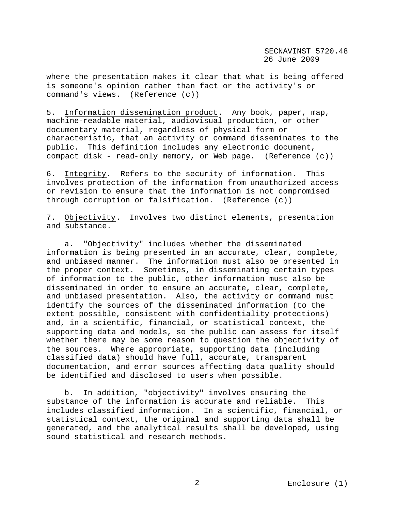where the presentation makes it clear that what is being offered is someone's opinion rather than fact or the activity's or command's views. (Reference (c))

5. Information dissemination product. Any book, paper, map, machine-readable material, audiovisual production, or other documentary material, regardless of physical form or characteristic, that an activity or command disseminates to the public. This definition includes any electronic document, compact disk - read-only memory, or Web page. (Reference (c))

6. Integrity. Refers to the security of information. This involves protection of the information from unauthorized access or revision to ensure that the information is not compromised through corruption or falsification. (Reference (c))

7. Objectivity. Involves two distinct elements, presentation and substance.

a. "Objectivity" includes whether the disseminated information is being presented in an accurate, clear, complete, and unbiased manner. The information must also be presented in the proper context. Sometimes, in disseminating certain types of information to the public, other information must also be disseminated in order to ensure an accurate, clear, complete, and unbiased presentation. Also, the activity or command must identify the sources of the disseminated information (to the extent possible, consistent with confidentiality protections) and, in a scientific, financial, or statistical context, the supporting data and models, so the public can assess for itself whether there may be some reason to question the objectivity of the sources. Where appropriate, supporting data (including classified data) should have full, accurate, transparent documentation, and error sources affecting data quality should be identified and disclosed to users when possible.

b. In addition, "objectivity" involves ensuring the substance of the information is accurate and reliable. This includes classified information. In a scientific, financial, or statistical context, the original and supporting data shall be generated, and the analytical results shall be developed, using sound statistical and research methods.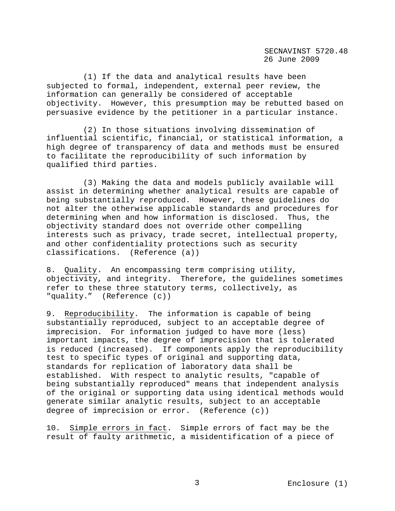(1) If the data and analytical results have been subjected to formal, independent, external peer review, the information can generally be considered of acceptable objectivity. However, this presumption may be rebutted based on persuasive evidence by the petitioner in a particular instance.

(2) In those situations involving dissemination of influential scientific, financial, or statistical information, a high degree of transparency of data and methods must be ensured to facilitate the reproducibility of such information by qualified third parties.

(3) Making the data and models publicly available will assist in determining whether analytical results are capable of being substantially reproduced. However, these guidelines do not alter the otherwise applicable standards and procedures for determining when and how information is disclosed. Thus, the objectivity standard does not override other compelling interests such as privacy, trade secret, intellectual property, and other confidentiality protections such as security classifications. (Reference (a))

8. Quality. An encompassing term comprising utility, objectivity, and integrity. Therefore, the guidelines sometimes refer to these three statutory terms, collectively, as "quality." (Reference (c))

9. Reproducibility. The information is capable of being substantially reproduced, subject to an acceptable degree of imprecision. For information judged to have more (less) important impacts, the degree of imprecision that is tolerated is reduced (increased). If components apply the reproducibility test to specific types of original and supporting data, standards for replication of laboratory data shall be established. With respect to analytic results, "capable of being substantially reproduced" means that independent analysis of the original or supporting data using identical methods would generate similar analytic results, subject to an acceptable degree of imprecision or error. (Reference (c))

10. Simple errors in fact. Simple errors of fact may be the result of faulty arithmetic, a misidentification of a piece of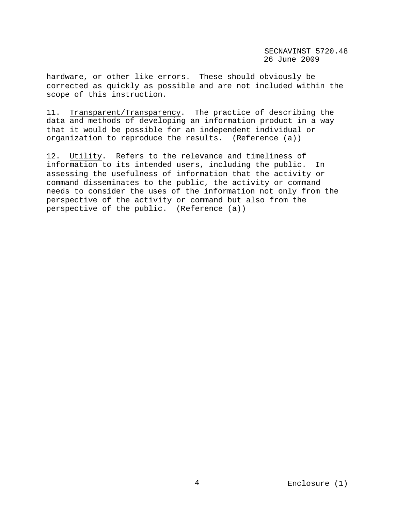hardware, or other like errors. These should obviously be corrected as quickly as possible and are not included within the scope of this instruction.

11. Transparent/Transparency. The practice of describing the data and methods of developing an information product in a way that it would be possible for an independent individual or organization to reproduce the results. (Reference (a))

12. Utility. Refers to the relevance and timeliness of information to its intended users, including the public. In assessing the usefulness of information that the activity or command disseminates to the public, the activity or command needs to consider the uses of the information not only from the perspective of the activity or command but also from the perspective of the public. (Reference (a))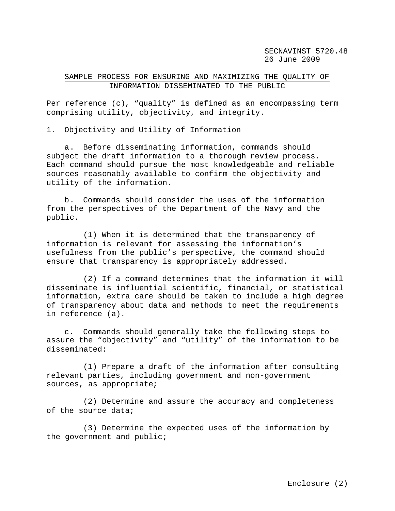# SAMPLE PROCESS FOR ENSURING AND MAXIMIZING THE QUALITY OF INFORMATION DISSEMINATED TO THE PUBLIC

Per reference (c), "quality" is defined as an encompassing term comprising utility, objectivity, and integrity.

1. Objectivity and Utility of Information

a. Before disseminating information, commands should subject the draft information to a thorough review process. Each command should pursue the most knowledgeable and reliable sources reasonably available to confirm the objectivity and utility of the information.

b. Commands should consider the uses of the information from the perspectives of the Department of the Navy and the public.

(1) When it is determined that the transparency of information is relevant for assessing the information's usefulness from the public's perspective, the command should ensure that transparency is appropriately addressed.

(2) If a command determines that the information it will disseminate is influential scientific, financial, or statistical information, extra care should be taken to include a high degree of transparency about data and methods to meet the requirements in reference (a).

c. Commands should generally take the following steps to assure the "objectivity" and "utility" of the information to be disseminated:

(1) Prepare a draft of the information after consulting relevant parties, including government and non-government sources, as appropriate;

(2) Determine and assure the accuracy and completeness of the source data;

(3) Determine the expected uses of the information by the government and public;